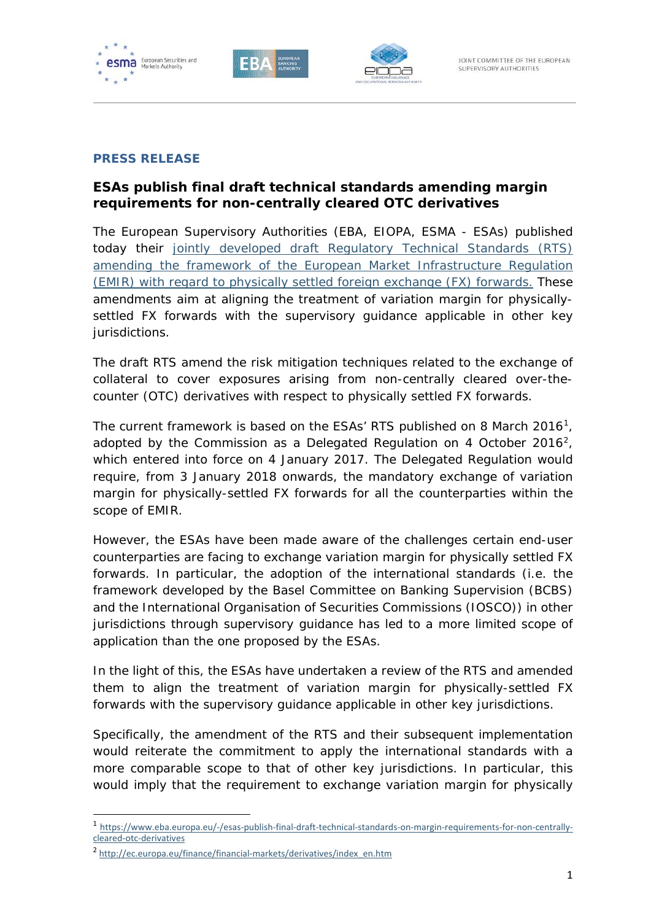





## **PRESS RELEASE**

## **ESAs publish final draft technical standards amending margin requirements for non-centrally cleared OTC derivatives**

The European Supervisory Authorities (EBA, EIOPA, ESMA - ESAs) published today their [jointly developed draft Regulatory Technical Standards \(RTS\)](https://esas-joint-committee.europa.eu/Publications/Technical%20Standards/Joint%20Draft%20RTS%20on%20margin%20requirements%20for%20non-centrally%20cleared%20OTC%20derivatives%20(JC-2017-79).pdf)  [amending the framework of the European Market Infrastructure Regulation](https://esas-joint-committee.europa.eu/Publications/Technical%20Standards/Joint%20Draft%20RTS%20on%20margin%20requirements%20for%20non-centrally%20cleared%20OTC%20derivatives%20(JC-2017-79).pdf)  [\(EMIR\) with regard to physically settled foreign exchange \(FX\) forwards.](https://esas-joint-committee.europa.eu/Publications/Technical%20Standards/Joint%20Draft%20RTS%20on%20margin%20requirements%20for%20non-centrally%20cleared%20OTC%20derivatives%20(JC-2017-79).pdf) These amendments aim at aligning the treatment of variation margin for physicallysettled FX forwards with the supervisory guidance applicable in other key jurisdictions.

The draft RTS amend the risk mitigation techniques related to the exchange of collateral to cover exposures arising from non-centrally cleared over-thecounter (OTC) derivatives with respect to physically settled FX forwards.

The current framework is based on the ESAs' RTS published on 8 March 20[1](#page-0-0)6<sup>1</sup>, adopted by the Commission as a Delegated Regulation on 4 October [2](#page-0-1)016<sup>2</sup>, which entered into force on 4 January 2017. The Delegated Regulation would require, from 3 January 2018 onwards, the mandatory exchange of variation margin for physically-settled FX forwards for all the counterparties within the scope of EMIR.

However, the ESAs have been made aware of the challenges certain end-user counterparties are facing to exchange variation margin for physically settled FX forwards. In particular, the adoption of the international standards (i.e. the framework developed by the Basel Committee on Banking Supervision (BCBS) and the International Organisation of Securities Commissions (IOSCO)) in other jurisdictions through supervisory guidance has led to a more limited scope of application than the one proposed by the ESAs.

In the light of this, the ESAs have undertaken a review of the RTS and amended them to align the treatment of variation margin for physically-settled FX forwards with the supervisory guidance applicable in other key jurisdictions.

Specifically, the amendment of the RTS and their subsequent implementation would reiterate the commitment to apply the international standards with a more comparable scope to that of other key jurisdictions. In particular, this would imply that the requirement to exchange variation margin for physically

l

<span id="page-0-0"></span><sup>1</sup> [https://www.eba.europa.eu/-/esas-publish-final-draft-technical-standards-on-margin-requirements-for-non-centrally](https://www.eba.europa.eu/-/esas-publish-final-draft-technical-standards-on-margin-requirements-for-non-centrally-cleared-otc-derivatives)[cleared-otc-derivatives](https://www.eba.europa.eu/-/esas-publish-final-draft-technical-standards-on-margin-requirements-for-non-centrally-cleared-otc-derivatives)

<span id="page-0-1"></span><sup>&</sup>lt;sup>2</sup> [http://ec.europa.eu/finance/financial-markets/derivatives/index\\_en.htm](http://ec.europa.eu/finance/financial-markets/derivatives/index_en.htm)